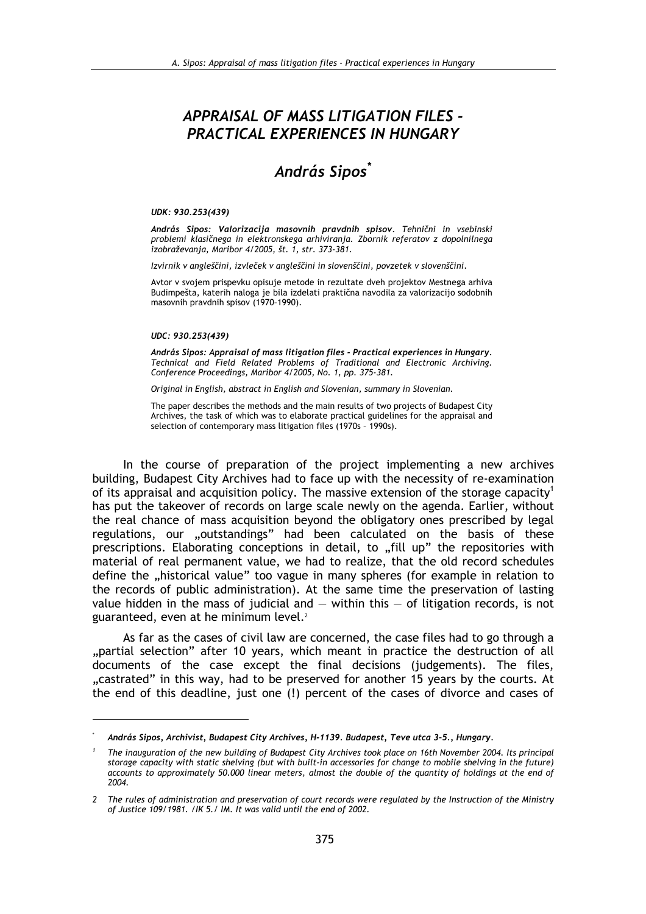## **APPRAISAL OF MASS LITIGATION FILES -**PRACTICAL EXPERIENCES IN HUNGARY

# András Sipos<sup>\*</sup>

#### UDK: 930.253(439)

András Sipos: Valorizacija masovnih pravdnih spisov. Tehnični in vsebinski problemi klasičnega in elektronskega arhiviranja. Zbornik referatov z dopolnilnega izobraževanja, Maribor 4/2005, št. 1, str. 373-381.

Izvirnik v angleščini, izvleček v angleščini in slovenščini, povzetek v slovenščini,

Avtor v svojem prispevku opisuje metode in rezultate dveh projektov Mestnega arhiva Budimpešta, katerih naloga je bila izdelati praktična navodila za valorizacijo sodobnih masovnih pravdnih spisov (1970-1990).

#### UDC: 930.253(439)

András Sipos: Appraisal of mass litigation files - Practical experiences in Hungary. Technical and Field Related Problems of Traditional and Electronic Archiving. Conference Proceedings, Maribor 4/2005, No. 1, pp. 375-381.

Original in English, abstract in English and Slovenian, summary in Slovenian.

The paper describes the methods and the main results of two projects of Budapest City Archives, the task of which was to elaborate practical guidelines for the appraisal and selection of contemporary mass litigation files (1970s - 1990s).

In the course of preparation of the project implementing a new archives building, Budapest City Archives had to face up with the necessity of re-examination of its appraisal and acquisition policy. The massive extension of the storage capacity<sup>1</sup> has put the takeover of records on large scale newly on the agenda. Earlier, without the real chance of mass acquisition beyond the obligatory ones prescribed by legal regulations, our "outstandings" had been calculated on the basis of these prescriptions. Elaborating conceptions in detail, to "fill up" the repositories with material of real permanent value, we had to realize, that the old record schedules define the "historical value" too vague in many spheres (for example in relation to the records of public administration). At the same time the preservation of lasting value hidden in the mass of judicial and  $-$  within this  $-$  of litigation records, is not guaranteed, even at he minimum level.<sup>2</sup>

As far as the cases of civil law are concerned, the case files had to go through a "partial selection" after 10 years, which meant in practice the destruction of all documents of the case except the final decisions (judgements). The files, "castrated" in this way, had to be preserved for another 15 years by the courts. At the end of this deadline, just one (!) percent of the cases of divorce and cases of

András Sipos, Archivist, Budapest City Archives, H-1139. Budapest, Teve utca 3-5., Hungary.

The inauguration of the new building of Budapest City Archives took place on 16th November 2004. Its principal storage capacity with static shelving (but with built-in accessories for change to mobile shelving in the future) accounts to approximately 50.000 linear meters, almost the double of the quantity of holdings at the end of 2004.

<sup>2</sup> The rules of administration and preservation of court records were regulated by the Instruction of the Ministry of Justice 109/1981. /IK 5./ IM. It was valid until the end of 2002.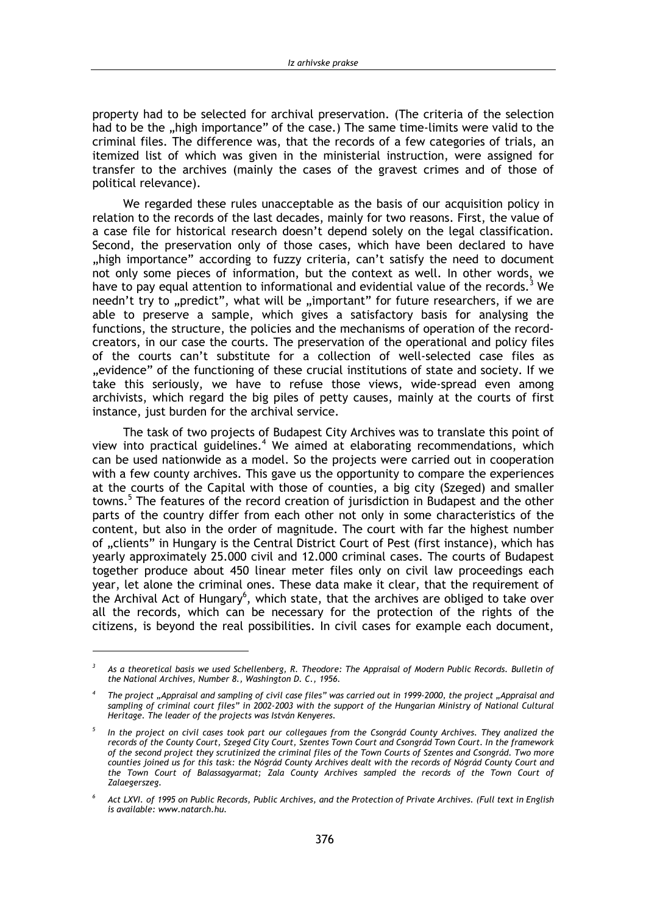property had to be selected for archival preservation. (The criteria of the selection had to be the "high importance" of the case.) The same time-limits were valid to the criminal files. The difference was, that the records of a few categories of trials, an itemized list of which was given in the ministerial instruction, were assigned for transfer to the archives (mainly the cases of the gravest crimes and of those of political relevance).

We regarded these rules unacceptable as the basis of our acquisition policy in relation to the records of the last decades, mainly for two reasons. First, the value of a case file for historical research doesn't depend solely on the legal classification. Second, the preservation only of those cases, which have been declared to have "high importance" according to fuzzy criteria, can't satisfy the need to document not only some pieces of information, but the context as well. In other words, we have to pay equal attention to informational and evidential value of the records.<sup>3</sup> We needn't try to "predict", what will be "important" for future researchers, if we are able to preserve a sample, which gives a satisfactory basis for analysing the functions, the structure, the policies and the mechanisms of operation of the recordcreators, in our case the courts. The preservation of the operational and policy files of the courts can't substitute for a collection of well-selected case files as "evidence" of the functioning of these crucial institutions of state and society. If we take this seriously, we have to refuse those views, wide-spread even among archivists, which regard the big piles of petty causes, mainly at the courts of first instance, just burden for the archival service.

The task of two projects of Budapest City Archives was to translate this point of view into practical guidelines.<sup>4</sup> We aimed at elaborating recommendations, which can be used nationwide as a model. So the projects were carried out in cooperation with a few county archives. This gave us the opportunity to compare the experiences at the courts of the Capital with those of counties, a big city (Szeged) and smaller towns.<sup>5</sup> The features of the record creation of jurisdiction in Budapest and the other parts of the country differ from each other not only in some characteristics of the content, but also in the order of magnitude. The court with far the highest number of "clients" in Hungary is the Central District Court of Pest (first instance), which has yearly approximately 25,000 civil and 12,000 criminal cases. The courts of Budapest together produce about 450 linear meter files only on civil law proceedings each year, let alone the criminal ones. These data make it clear, that the requirement of the Archival Act of Hungary<sup>6</sup>, which state, that the archives are obliged to take over all the records, which can be necessary for the protection of the rights of the citizens, is beyond the real possibilities. In civil cases for example each document,

 $\overline{3}$ As a theoretical basis we used Schellenberg, R. Theodore: The Appraisal of Modern Public Records. Bulletin of the National Archives, Number 8., Washington D. C., 1956.

The project "Appraisal and sampling of civil case files" was carried out in 1999-2000, the project "Appraisal and sampling of criminal court files" in 2002-2003 with the support of the Hungarian Ministry of National Cultural Heritage. The leader of the projects was István Kenyeres.

In the project on civil cases took part our collegaues from the Csongrád County Archives. They analized the records of the County Court, Szeged City Court, Szentes Town Court and Csongrád Town Court. In the framework of the second project they scrutinized the criminal files of the Town Courts of Szentes and Csongrád. Two more counties joined us for this task: the Nógrád County Archives dealt with the records of Nógrád County Court and the Town Court of Balassagyarmat; Zala County Archives sampled the records of the Town Court of Zalaegerszeg.

Act LXVI. of 1995 on Public Records, Public Archives, and the Protection of Private Archives. (Full text in English is available: www.natarch.hu.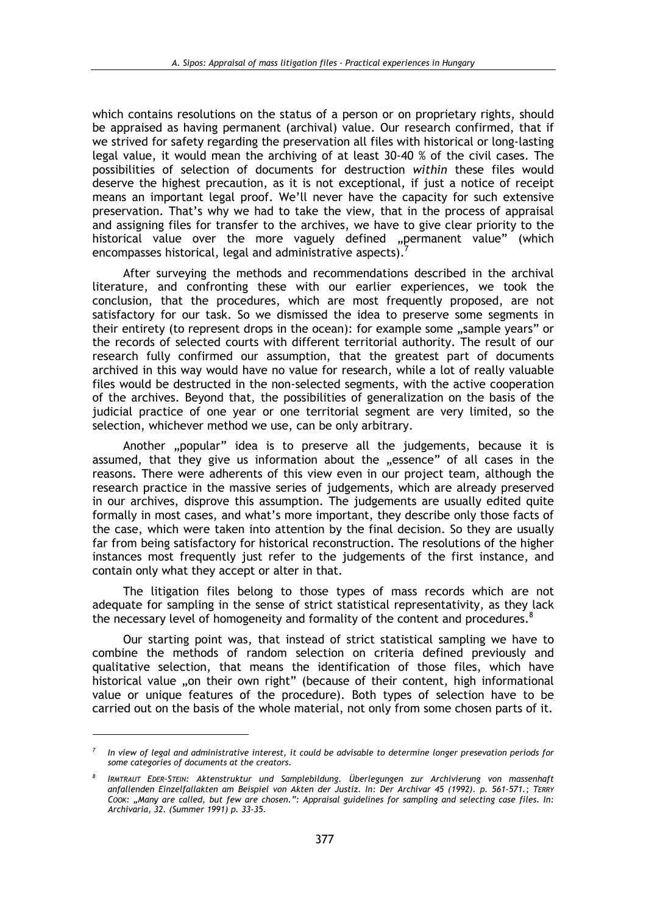which contains resolutions on the status of a person or on proprietary rights, should be appraised as having permanent (archival) value. Our research confirmed. that if we strived for safety regarding the preservation all files with historical or long-lasting legal value, it would mean the archiving of at least 30-40 % of the civil cases. The possibilities of selection of documents for destruction within these files would deserve the highest precaution, as it is not exceptional, if just a notice of receipt means an important legal proof. We'll never have the capacity for such extensive preservation. That's why we had to take the view, that in the process of appraisal and assigning files for transfer to the archives, we have to give clear priority to the historical value over the more vaguely defined "permanent value" (which encompasses historical, legal and administrative aspects).

After surveying the methods and recommendations described in the archival literature, and confronting these with our earlier experiences, we took the conclusion, that the procedures, which are most frequently proposed, are not satisfactory for our task. So we dismissed the idea to preserve some segments in their entirety (to represent drops in the ocean): for example some "sample years" or the records of selected courts with different territorial authority. The result of our research fully confirmed our assumption, that the greatest part of documents archived in this way would have no value for research, while a lot of really valuable files would be destructed in the non-selected segments, with the active cooperation of the archives. Beyond that, the possibilities of generalization on the basis of the judicial practice of one year or one territorial segment are very limited, so the selection, whichever method we use, can be only arbitrary.

Another "popular" idea is to preserve all the judgements, because it is assumed, that they give us information about the "essence" of all cases in the reasons. There were adherents of this view even in our project team, although the research practice in the massive series of judgements, which are already preserved in our archives, disprove this assumption. The judgements are usually edited quite formally in most cases, and what's more important, they describe only those facts of the case, which were taken into attention by the final decision. So they are usually far from being satisfactory for historical reconstruction. The resolutions of the higher instances most frequently just refer to the judgements of the first instance, and contain only what they accept or alter in that.

The litigation files belong to those types of mass records which are not adequate for sampling in the sense of strict statistical representativity, as they lack the necessary level of homogeneity and formality of the content and procedures.

Our starting point was, that instead of strict statistical sampling we have to combine the methods of random selection on criteria defined previously and qualitative selection, that means the identification of those files, which have historical value "on their own right" (because of their content, high informational value or unique features of the procedure). Both types of selection have to be carried out on the basis of the whole material, not only from some chosen parts of it.

In view of legal and administrative interest, it could be advisable to determine longer presevation periods for some categories of documents at the creators.

IRMTRAUT EDER-STEIN: Aktenstruktur und Samplebildung. Überlegungen zur Archivierung von massenhaft anfallenden Einzelfallakten am Beispiel von Akten der Justiz. In: Der Archivar 45 (1992). p. 561-571.; TERRY COOK: "Many are called, but few are chosen.": Appraisal guidelines for sampling and selecting case files. In: Archivaria, 32. (Summer 1991) p. 33-35.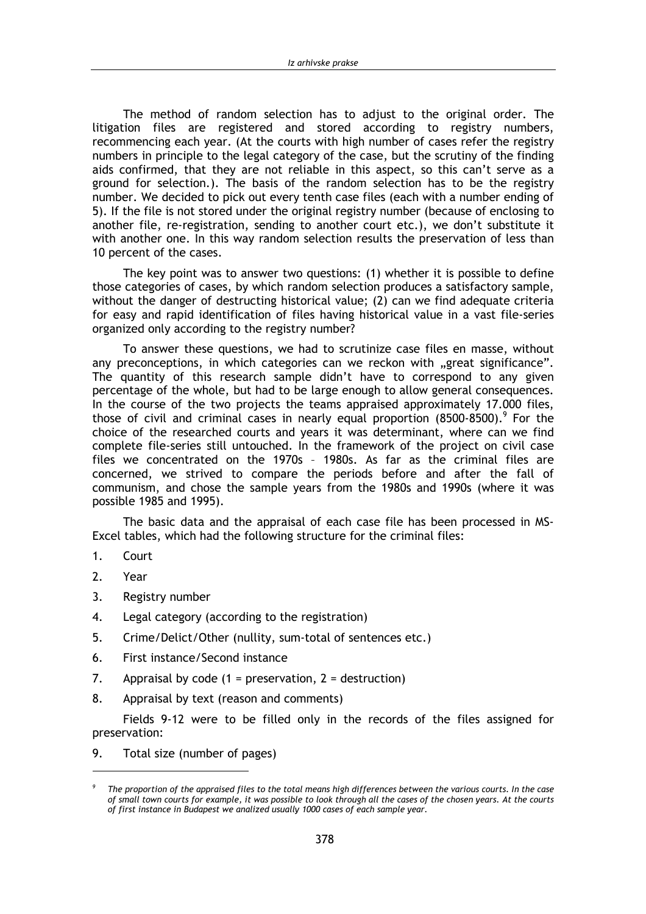The method of random selection has to adjust to the original order. The litigation files are registered and stored according to registry numbers, recommencing each year. (At the courts with high number of cases refer the registry numbers in principle to the legal category of the case, but the scrutiny of the finding aids confirmed, that they are not reliable in this aspect, so this can't serve as a ground for selection.). The basis of the random selection has to be the registry number. We decided to pick out every tenth case files (each with a number ending of 5). If the file is not stored under the original registry number (because of enclosing to another file, re-registration, sending to another court etc.), we don't substitute it with another one. In this way random selection results the preservation of less than 10 percent of the cases.

The key point was to answer two questions: (1) whether it is possible to define those categories of cases, by which random selection produces a satisfactory sample, without the danger of destructing historical value; (2) can we find adequate criteria for easy and rapid identification of files having historical value in a vast file-series organized only according to the registry number?

To answer these questions, we had to scrutinize case files en masse, without any preconceptions, in which categories can we reckon with "great significance". The quantity of this research sample didn't have to correspond to any given percentage of the whole, but had to be large enough to allow general consequences. In the course of the two projects the teams appraised approximately 17,000 files, those of civil and criminal cases in nearly equal proportion  $(8500-8500)$ . For the choice of the researched courts and years it was determinant, where can we find complete file-series still untouched. In the framework of the project on civil case files we concentrated on the 1970s - 1980s. As far as the criminal files are concerned, we strived to compare the periods before and after the fall of communism, and chose the sample years from the 1980s and 1990s (where it was possible 1985 and 1995).

The basic data and the appraisal of each case file has been processed in MS-Excel tables, which had the following structure for the criminal files:

- $1<sup>1</sup>$  $C$ <sub>OU</sub>rt
- $2.$ Year
- $\overline{3}$ . Registry number
- 4. Legal category (according to the registration)
- 5. Crime/Delict/Other (nullity, sum-total of sentences etc.)
- 6. First instance/Second instance
- 7. Appraisal by code  $(1 =$  preservation,  $2 =$  destruction)
- 8. Appraisal by text (reason and comments)

Fields 9-12 were to be filled only in the records of the files assigned for preservation:

9. Total size (number of pages)

The proportion of the appraised files to the total means high differences between the various courts. In the case of small town courts for example, it was possible to look through all the cases of the chosen years. At the courts of first instance in Budapest we analized usually 1000 cases of each sample year.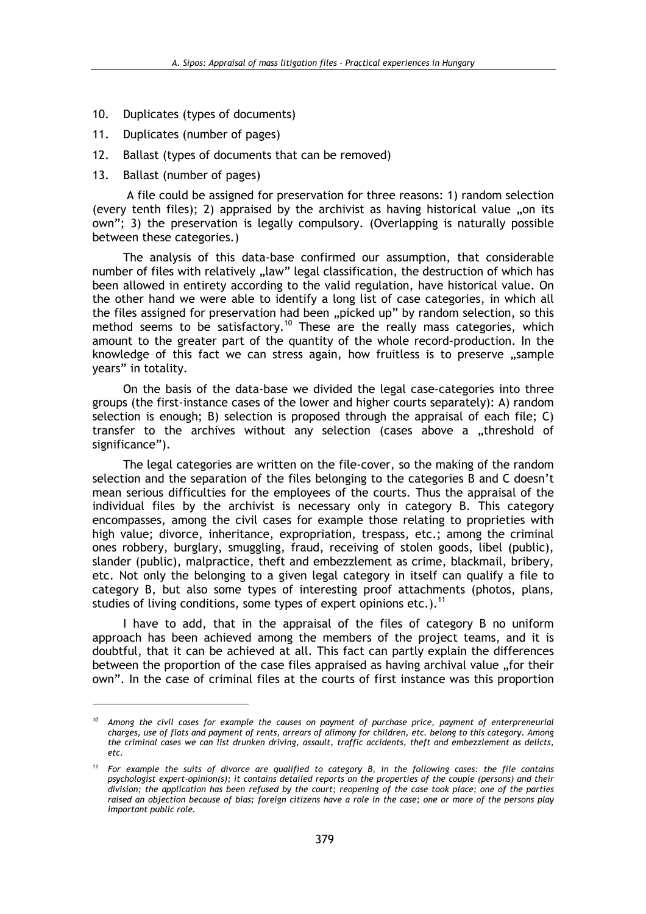- $10.$ Duplicates (types of documents)
- $11.$ Duplicates (number of pages)
- $12.$ Ballast (types of documents that can be removed)
- $13.$ Ballast (number of pages)

A file could be assigned for preservation for three reasons: 1) random selection (every tenth files); 2) appraised by the archivist as having historical value "on its own"; 3) the preservation is legally compulsory. (Overlapping is naturally possible between these categories.)

The analysis of this data-base confirmed our assumption, that considerable number of files with relatively "law" legal classification, the destruction of which has been allowed in entirety according to the valid regulation, have historical value. On the other hand we were able to identify a long list of case categories, in which all the files assigned for preservation had been "picked up" by random selection, so this method seems to be satisfactory.<sup>10</sup> These are the really mass categories, which amount to the greater part of the quantity of the whole record-production. In the knowledge of this fact we can stress again, how fruitless is to preserve "sample years" in totality.

On the basis of the data-base we divided the legal case-categories into three groups (the first-instance cases of the lower and higher courts separately): A) random selection is enough; B) selection is proposed through the appraisal of each file; C) transfer to the archives without any selection (cases above a "threshold of significance").

The legal categories are written on the file-cover, so the making of the random selection and the separation of the files belonging to the categories B and C doesn't mean serious difficulties for the employees of the courts. Thus the appraisal of the individual files by the archivist is necessary only in category B. This category encompasses, among the civil cases for example those relating to proprieties with high value; divorce, inheritance, expropriation, trespass, etc.; among the criminal ones robbery, burglary, smuggling, fraud, receiving of stolen goods, libel (public), slander (public), malpractice, theft and embezzlement as crime, blackmail, bribery, etc. Not only the belonging to a given legal category in itself can qualify a file to category B, but also some types of interesting proof attachments (photos, plans, studies of living conditions, some types of expert opinions etc.).<sup>11</sup>

I have to add, that in the appraisal of the files of category B no uniform approach has been achieved among the members of the project teams, and it is doubtful, that it can be achieved at all. This fact can partly explain the differences between the proportion of the case files appraised as having archival value, for their own". In the case of criminal files at the courts of first instance was this proportion

 $10$  Among the civil cases for example the causes on payment of purchase price, payment of enterpreneurial charges, use of flats and payment of rents, arrears of alimony for children, etc. belong to this category. Among the criminal cases we can list drunken driving, assault, traffic accidents, theft and embezzlement as delicts, etc.

For example the suits of divorce are qualified to category B, in the following cases: the file contains psychologist expert-opinion(s); it contains detailed reports on the properties of the couple (persons) and their division; the application has been refused by the court; reopening of the case took place; one of the parties raised an objection because of bias; foreign citizens have a role in the case; one or more of the persons play important public role.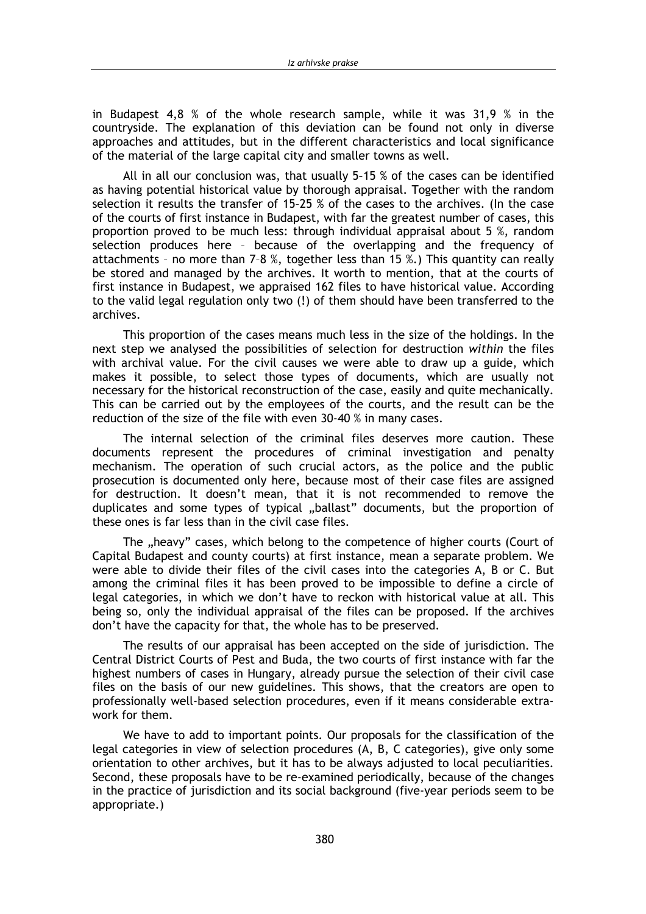in Budapest 4.8 % of the whole research sample, while it was  $31.9$  % in the countryside. The explanation of this deviation can be found not only in diverse approaches and attitudes, but in the different characteristics and local significance of the material of the large capital city and smaller towns as well.

All in all our conclusion was, that usually 5-15 % of the cases can be identified as having potential historical value by thorough appraisal. Together with the random selection it results the transfer of 15-25 % of the cases to the archives. (In the case of the courts of first instance in Budapest, with far the greatest number of cases, this proportion proved to be much less: through individual appraisal about 5 %, random selection produces here - because of the overlapping and the frequency of attachments - no more than 7-8 %, together less than 15 %.) This quantity can really be stored and managed by the archives. It worth to mention, that at the courts of first instance in Budapest, we appraised 162 files to have historical value. According to the valid legal regulation only two (!) of them should have been transferred to the archives.

This proportion of the cases means much less in the size of the holdings. In the next step we analysed the possibilities of selection for destruction within the files with archival value. For the civil causes we were able to draw up a guide, which makes it possible, to select those types of documents, which are usually not necessary for the historical reconstruction of the case, easily and quite mechanically. This can be carried out by the employees of the courts, and the result can be the reduction of the size of the file with even 30-40 % in many cases.

The internal selection of the criminal files deserves more caution. These documents represent the procedures of criminal investigation and penalty mechanism. The operation of such crucial actors, as the police and the public prosecution is documented only here, because most of their case files are assigned for destruction. It doesn't mean, that it is not recommended to remove the duplicates and some types of typical ..ballast" documents, but the proportion of these ones is far less than in the civil case files.

The "heavy" cases, which belong to the competence of higher courts (Court of Capital Budapest and county courts) at first instance, mean a separate problem. We were able to divide their files of the civil cases into the categories A, B or C, But among the criminal files it has been proved to be impossible to define a circle of legal categories, in which we don't have to reckon with historical value at all. This being so, only the individual appraisal of the files can be proposed. If the archives don't have the capacity for that, the whole has to be preserved.

The results of our appraisal has been accepted on the side of jurisdiction. The Central District Courts of Pest and Buda, the two courts of first instance with far the highest numbers of cases in Hungary, already pursue the selection of their civil case files on the basis of our new guidelines. This shows, that the creators are open to professionally well-based selection procedures, even if it means considerable extrawork for them.

We have to add to important points. Our proposals for the classification of the legal categories in view of selection procedures (A, B, C categories), give only some orientation to other archives, but it has to be always adjusted to local peculiarities. Second, these proposals have to be re-examined periodically, because of the changes in the practice of jurisdiction and its social background (five-year periods seem to be appropriate.)